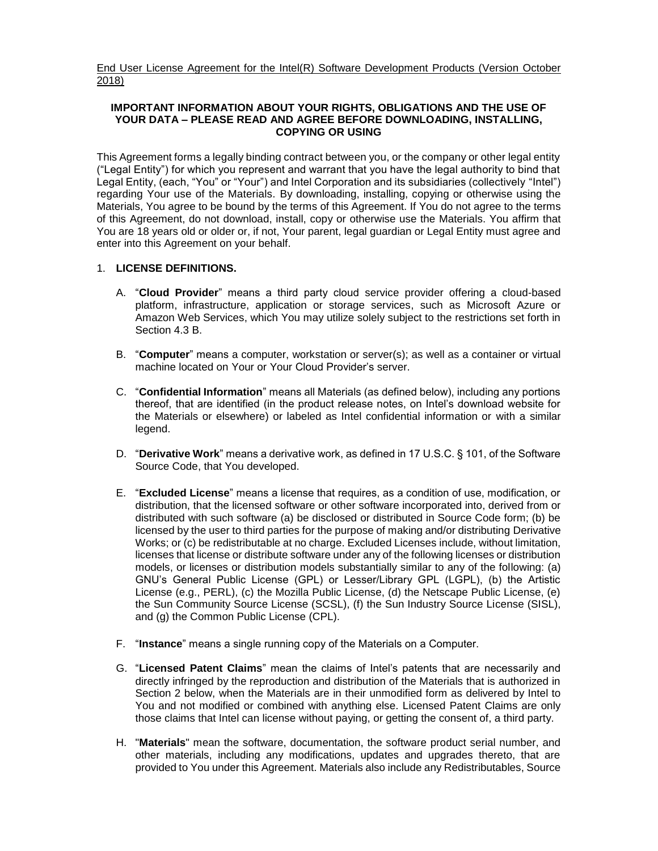End User License Agreement for the Intel(R) Software Development Products (Version October 2018)

### **IMPORTANT INFORMATION ABOUT YOUR RIGHTS, OBLIGATIONS AND THE USE OF YOUR DATA – PLEASE READ AND AGREE BEFORE DOWNLOADING, INSTALLING, COPYING OR USING**

This Agreement forms a legally binding contract between you, or the company or other legal entity ("Legal Entity") for which you represent and warrant that you have the legal authority to bind that Legal Entity, (each, "You" or "Your") and Intel Corporation and its subsidiaries (collectively "Intel") regarding Your use of the Materials. By downloading, installing, copying or otherwise using the Materials, You agree to be bound by the terms of this Agreement. If You do not agree to the terms of this Agreement, do not download, install, copy or otherwise use the Materials. You affirm that You are 18 years old or older or, if not, Your parent, legal guardian or Legal Entity must agree and enter into this Agreement on your behalf.

### 1. **LICENSE DEFINITIONS.**

- A. "**Cloud Provider**" means a third party cloud service provider offering a cloud-based platform, infrastructure, application or storage services, such as Microsoft Azure or Amazon Web Services, which You may utilize solely subject to the restrictions set forth in Section 4.3 B.
- B. "**Computer**" means a computer, workstation or server(s); as well as a container or virtual machine located on Your or Your Cloud Provider's server.
- C. "**Confidential Information**" means all Materials (as defined below), including any portions thereof, that are identified (in the product release notes, on Intel's download website for the Materials or elsewhere) or labeled as Intel confidential information or with a similar legend.
- D. "**Derivative Work**" means a derivative work, as defined in 17 U.S.C. § 101, of the Software Source Code, that You developed.
- E. "**Excluded License**" means a license that requires, as a condition of use, modification, or distribution, that the licensed software or other software incorporated into, derived from or distributed with such software (a) be disclosed or distributed in Source Code form; (b) be licensed by the user to third parties for the purpose of making and/or distributing Derivative Works; or (c) be redistributable at no charge. Excluded Licenses include, without limitation, licenses that license or distribute software under any of the following licenses or distribution models, or licenses or distribution models substantially similar to any of the following: (a) GNU's General Public License (GPL) or Lesser/Library GPL (LGPL), (b) the Artistic License (e.g., PERL), (c) the Mozilla Public License, (d) the Netscape Public License, (e) the Sun Community Source License (SCSL), (f) the Sun Industry Source License (SISL), and (g) the Common Public License (CPL).
- F. "**Instance**" means a single running copy of the Materials on a Computer.
- G. "**Licensed Patent Claims**" mean the claims of Intel's patents that are necessarily and directly infringed by the reproduction and distribution of the Materials that is authorized in Section 2 below, when the Materials are in their unmodified form as delivered by Intel to You and not modified or combined with anything else. Licensed Patent Claims are only those claims that Intel can license without paying, or getting the consent of, a third party.
- H. "**Materials**" mean the software, documentation, the software product serial number, and other materials, including any modifications, updates and upgrades thereto, that are provided to You under this Agreement. Materials also include any Redistributables, Source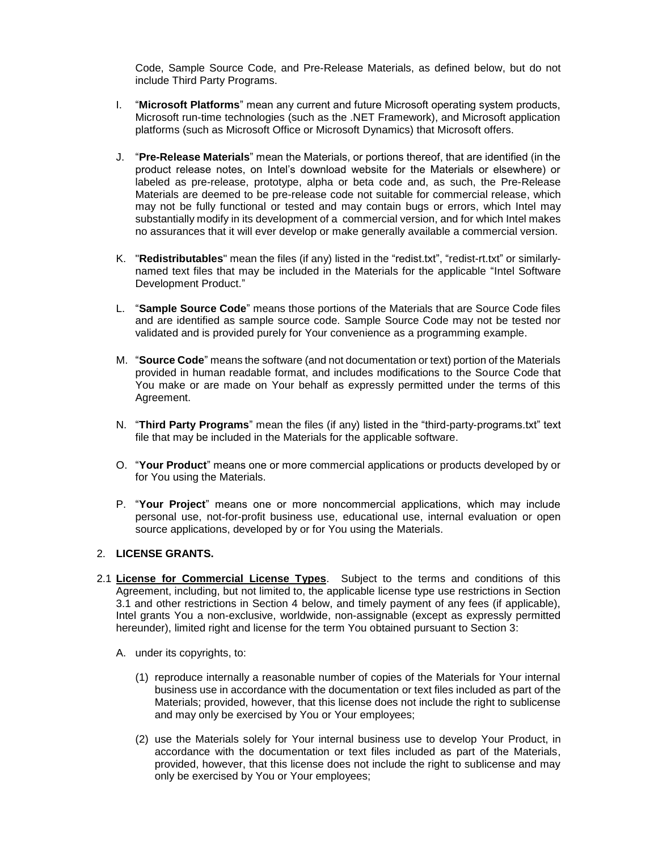Code, Sample Source Code, and Pre-Release Materials, as defined below, but do not include Third Party Programs.

- I. "**Microsoft Platforms**" mean any current and future Microsoft operating system products, Microsoft run-time technologies (such as the .NET Framework), and Microsoft application platforms (such as Microsoft Office or Microsoft Dynamics) that Microsoft offers.
- J. "**Pre-Release Materials**" mean the Materials, or portions thereof, that are identified (in the product release notes, on Intel's download website for the Materials or elsewhere) or labeled as pre-release, prototype, alpha or beta code and, as such, the Pre-Release Materials are deemed to be pre-release code not suitable for commercial release, which may not be fully functional or tested and may contain bugs or errors, which Intel may substantially modify in its development of a commercial version, and for which Intel makes no assurances that it will ever develop or make generally available a commercial version.
- K. "**Redistributables**" mean the files (if any) listed in the "redist.txt", "redist-rt.txt" or similarlynamed text files that may be included in the Materials for the applicable "Intel Software Development Product."
- L. "**Sample Source Code**" means those portions of the Materials that are Source Code files and are identified as sample source code. Sample Source Code may not be tested nor validated and is provided purely for Your convenience as a programming example.
- M. "**Source Code**" means the software (and not documentation or text) portion of the Materials provided in human readable format, and includes modifications to the Source Code that You make or are made on Your behalf as expressly permitted under the terms of this Agreement.
- N. "**Third Party Programs**" mean the files (if any) listed in the "third-party-programs.txt" text file that may be included in the Materials for the applicable software.
- O. "**Your Product**" means one or more commercial applications or products developed by or for You using the Materials.
- P. "**Your Project**" means one or more noncommercial applications, which may include personal use, not-for-profit business use, educational use, internal evaluation or open source applications, developed by or for You using the Materials.

### 2. **LICENSE GRANTS.**

- 2.1 **License for Commercial License Types**. Subject to the terms and conditions of this Agreement, including, but not limited to, the applicable license type use restrictions in Section 3.1 and other restrictions in Section 4 below, and timely payment of any fees (if applicable), Intel grants You a non-exclusive, worldwide, non-assignable (except as expressly permitted hereunder), limited right and license for the term You obtained pursuant to Section 3:
	- A. under its copyrights, to:
		- (1) reproduce internally a reasonable number of copies of the Materials for Your internal business use in accordance with the documentation or text files included as part of the Materials; provided, however, that this license does not include the right to sublicense and may only be exercised by You or Your employees;
		- (2) use the Materials solely for Your internal business use to develop Your Product, in accordance with the documentation or text files included as part of the Materials, provided, however, that this license does not include the right to sublicense and may only be exercised by You or Your employees;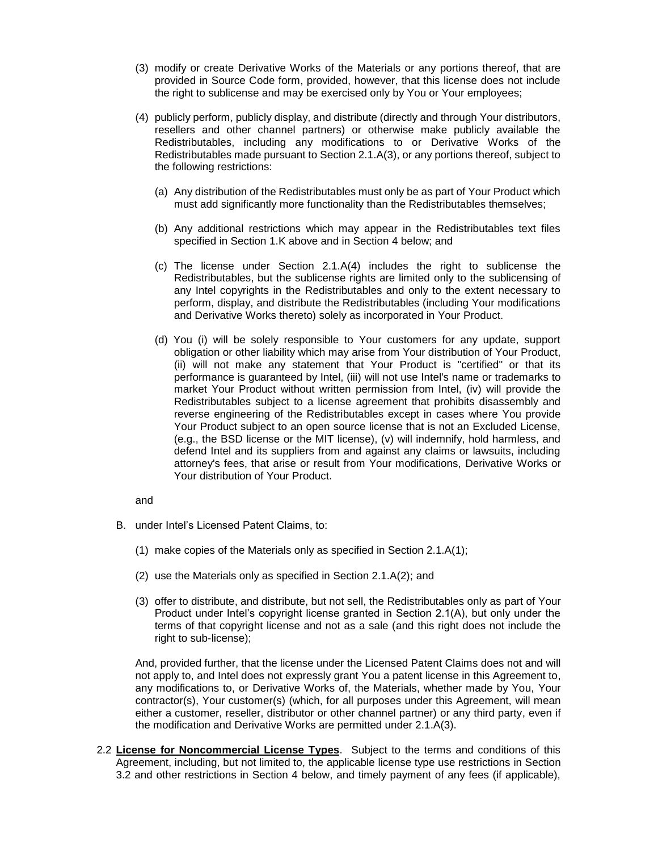- (3) modify or create Derivative Works of the Materials or any portions thereof, that are provided in Source Code form, provided, however, that this license does not include the right to sublicense and may be exercised only by You or Your employees;
- (4) publicly perform, publicly display, and distribute (directly and through Your distributors, resellers and other channel partners) or otherwise make publicly available the Redistributables, including any modifications to or Derivative Works of the Redistributables made pursuant to Section 2.1.A(3), or any portions thereof, subject to the following restrictions:
	- (a) Any distribution of the Redistributables must only be as part of Your Product which must add significantly more functionality than the Redistributables themselves;
	- (b) Any additional restrictions which may appear in the Redistributables text files specified in Section 1.K above and in Section 4 below; and
	- (c) The license under Section 2.1.A(4) includes the right to sublicense the Redistributables, but the sublicense rights are limited only to the sublicensing of any Intel copyrights in the Redistributables and only to the extent necessary to perform, display, and distribute the Redistributables (including Your modifications and Derivative Works thereto) solely as incorporated in Your Product.
	- (d) You (i) will be solely responsible to Your customers for any update, support obligation or other liability which may arise from Your distribution of Your Product, (ii) will not make any statement that Your Product is "certified" or that its performance is guaranteed by Intel, (iii) will not use Intel's name or trademarks to market Your Product without written permission from Intel, (iv) will provide the Redistributables subject to a license agreement that prohibits disassembly and reverse engineering of the Redistributables except in cases where You provide Your Product subject to an open source license that is not an Excluded License, (e.g., the BSD license or the MIT license), (v) will indemnify, hold harmless, and defend Intel and its suppliers from and against any claims or lawsuits, including attorney's fees, that arise or result from Your modifications, Derivative Works or Your distribution of Your Product.

and

- B. under Intel's Licensed Patent Claims, to:
	- (1) make copies of the Materials only as specified in Section 2.1.A(1);
	- (2) use the Materials only as specified in Section 2.1.A(2); and
	- (3) offer to distribute, and distribute, but not sell, the Redistributables only as part of Your Product under Intel's copyright license granted in Section 2.1(A), but only under the terms of that copyright license and not as a sale (and this right does not include the right to sub-license);

And, provided further, that the license under the Licensed Patent Claims does not and will not apply to, and Intel does not expressly grant You a patent license in this Agreement to, any modifications to, or Derivative Works of, the Materials, whether made by You, Your contractor(s), Your customer(s) (which, for all purposes under this Agreement, will mean either a customer, reseller, distributor or other channel partner) or any third party, even if the modification and Derivative Works are permitted under 2.1.A(3).

2.2 **License for Noncommercial License Types**. Subject to the terms and conditions of this Agreement, including, but not limited to, the applicable license type use restrictions in Section 3.2 and other restrictions in Section 4 below, and timely payment of any fees (if applicable),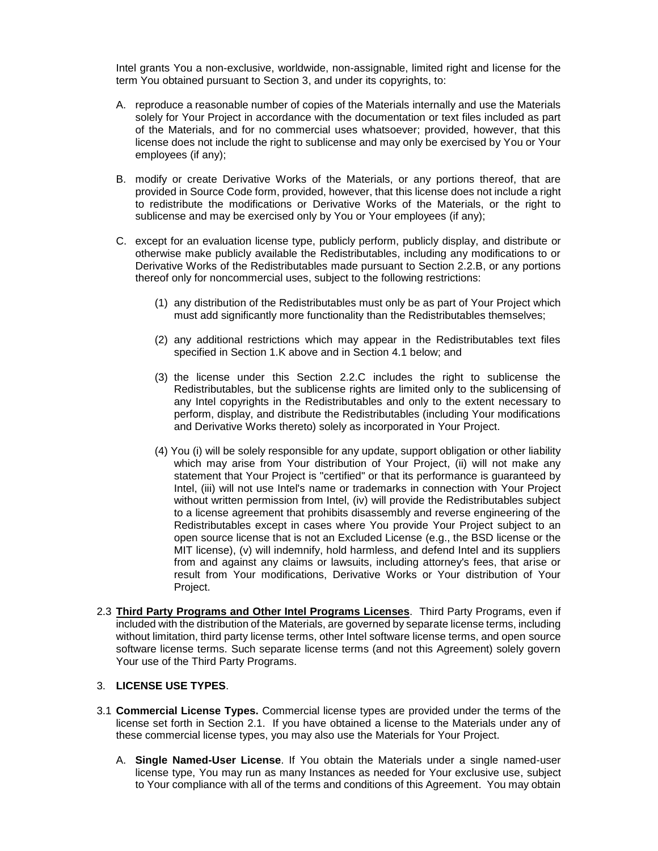Intel grants You a non-exclusive, worldwide, non-assignable, limited right and license for the term You obtained pursuant to Section 3, and under its copyrights, to:

- A. reproduce a reasonable number of copies of the Materials internally and use the Materials solely for Your Project in accordance with the documentation or text files included as part of the Materials, and for no commercial uses whatsoever; provided, however, that this license does not include the right to sublicense and may only be exercised by You or Your employees (if any);
- B. modify or create Derivative Works of the Materials, or any portions thereof, that are provided in Source Code form, provided, however, that this license does not include a right to redistribute the modifications or Derivative Works of the Materials, or the right to sublicense and may be exercised only by You or Your employees (if any);
- C. except for an evaluation license type, publicly perform, publicly display, and distribute or otherwise make publicly available the Redistributables, including any modifications to or Derivative Works of the Redistributables made pursuant to Section 2.2.B, or any portions thereof only for noncommercial uses, subject to the following restrictions:
	- (1) any distribution of the Redistributables must only be as part of Your Project which must add significantly more functionality than the Redistributables themselves;
	- (2) any additional restrictions which may appear in the Redistributables text files specified in Section 1.K above and in Section 4.1 below; and
	- (3) the license under this Section 2.2.C includes the right to sublicense the Redistributables, but the sublicense rights are limited only to the sublicensing of any Intel copyrights in the Redistributables and only to the extent necessary to perform, display, and distribute the Redistributables (including Your modifications and Derivative Works thereto) solely as incorporated in Your Project.
	- (4) You (i) will be solely responsible for any update, support obligation or other liability which may arise from Your distribution of Your Project, (ii) will not make any statement that Your Project is "certified" or that its performance is guaranteed by Intel, (iii) will not use Intel's name or trademarks in connection with Your Project without written permission from Intel, (iv) will provide the Redistributables subject to a license agreement that prohibits disassembly and reverse engineering of the Redistributables except in cases where You provide Your Project subject to an open source license that is not an Excluded License (e.g., the BSD license or the MIT license), (v) will indemnify, hold harmless, and defend Intel and its suppliers from and against any claims or lawsuits, including attorney's fees, that arise or result from Your modifications, Derivative Works or Your distribution of Your Project.
- 2.3 **Third Party Programs and Other Intel Programs Licenses**. Third Party Programs, even if included with the distribution of the Materials, are governed by separate license terms, including without limitation, third party license terms, other Intel software license terms, and open source software license terms. Such separate license terms (and not this Agreement) solely govern Your use of the Third Party Programs.

## 3. **LICENSE USE TYPES**.

- 3.1 **Commercial License Types.** Commercial license types are provided under the terms of the license set forth in Section 2.1. If you have obtained a license to the Materials under any of these commercial license types, you may also use the Materials for Your Project.
	- A. **Single Named-User License**. If You obtain the Materials under a single named-user license type, You may run as many Instances as needed for Your exclusive use, subject to Your compliance with all of the terms and conditions of this Agreement. You may obtain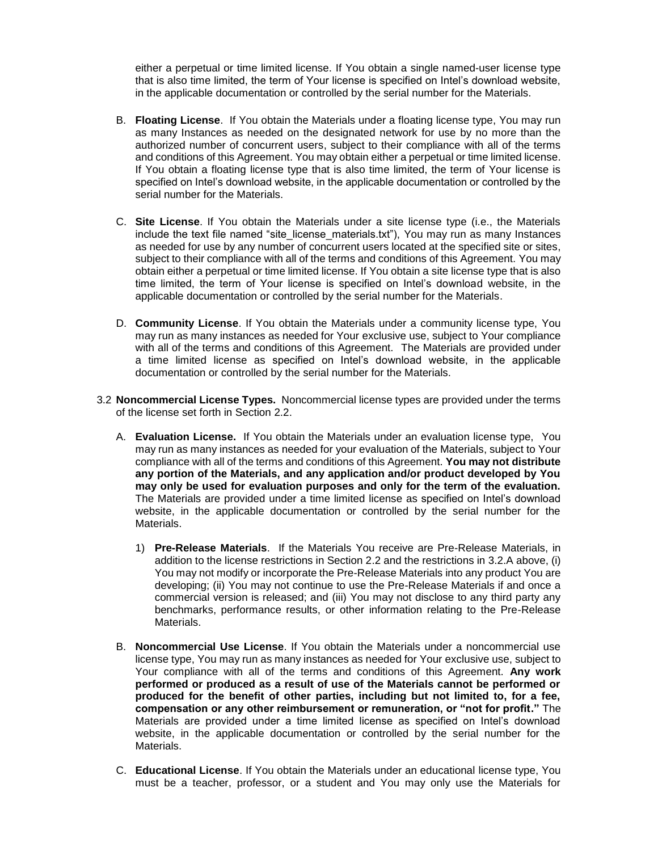either a perpetual or time limited license. If You obtain a single named-user license type that is also time limited, the term of Your license is specified on Intel's download website, in the applicable documentation or controlled by the serial number for the Materials.

- B. **Floating License**. If You obtain the Materials under a floating license type, You may run as many Instances as needed on the designated network for use by no more than the authorized number of concurrent users, subject to their compliance with all of the terms and conditions of this Agreement. You may obtain either a perpetual or time limited license. If You obtain a floating license type that is also time limited, the term of Your license is specified on Intel's download website, in the applicable documentation or controlled by the serial number for the Materials.
- C. **Site License**. If You obtain the Materials under a site license type (i.e., the Materials include the text file named "site\_license\_materials.txt"), You may run as many Instances as needed for use by any number of concurrent users located at the specified site or sites, subject to their compliance with all of the terms and conditions of this Agreement. You may obtain either a perpetual or time limited license. If You obtain a site license type that is also time limited, the term of Your license is specified on Intel's download website, in the applicable documentation or controlled by the serial number for the Materials.
- D. **Community License**. If You obtain the Materials under a community license type, You may run as many instances as needed for Your exclusive use, subject to Your compliance with all of the terms and conditions of this Agreement. The Materials are provided under a time limited license as specified on Intel's download website, in the applicable documentation or controlled by the serial number for the Materials.
- 3.2 **Noncommercial License Types.** Noncommercial license types are provided under the terms of the license set forth in Section 2.2.
	- A. **Evaluation License.** If You obtain the Materials under an evaluation license type, You may run as many instances as needed for your evaluation of the Materials, subject to Your compliance with all of the terms and conditions of this Agreement. **You may not distribute any portion of the Materials, and any application and/or product developed by You may only be used for evaluation purposes and only for the term of the evaluation.**  The Materials are provided under a time limited license as specified on Intel's download website, in the applicable documentation or controlled by the serial number for the Materials.
		- 1) **Pre-Release Materials**. If the Materials You receive are Pre-Release Materials, in addition to the license restrictions in Section 2.2 and the restrictions in 3.2.A above, (i) You may not modify or incorporate the Pre-Release Materials into any product You are developing; (ii) You may not continue to use the Pre-Release Materials if and once a commercial version is released; and (iii) You may not disclose to any third party any benchmarks, performance results, or other information relating to the Pre-Release Materials.
	- B. **Noncommercial Use License**. If You obtain the Materials under a noncommercial use license type, You may run as many instances as needed for Your exclusive use, subject to Your compliance with all of the terms and conditions of this Agreement. **Any work performed or produced as a result of use of the Materials cannot be performed or produced for the benefit of other parties, including but not limited to, for a fee, compensation or any other reimbursement or remuneration, or "not for profit."** The Materials are provided under a time limited license as specified on Intel's download website, in the applicable documentation or controlled by the serial number for the Materials.
	- C. **Educational License**. If You obtain the Materials under an educational license type, You must be a teacher, professor, or a student and You may only use the Materials for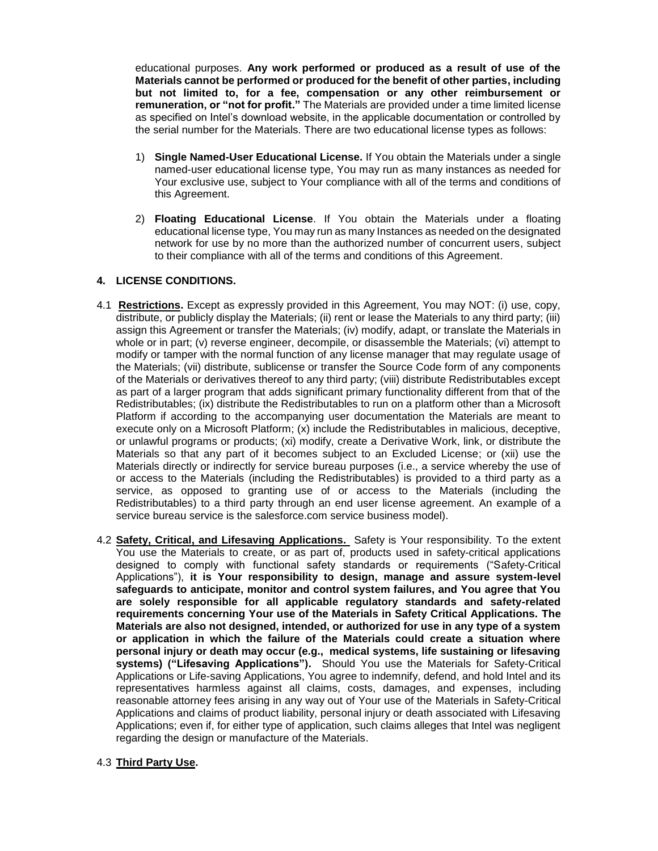educational purposes. **Any work performed or produced as a result of use of the Materials cannot be performed or produced for the benefit of other parties, including but not limited to, for a fee, compensation or any other reimbursement or remuneration, or "not for profit."** The Materials are provided under a time limited license as specified on Intel's download website, in the applicable documentation or controlled by the serial number for the Materials. There are two educational license types as follows:

- 1) **Single Named-User Educational License.** If You obtain the Materials under a single named-user educational license type, You may run as many instances as needed for Your exclusive use, subject to Your compliance with all of the terms and conditions of this Agreement.
- 2) **Floating Educational License**. If You obtain the Materials under a floating educational license type, You may run as many Instances as needed on the designated network for use by no more than the authorized number of concurrent users, subject to their compliance with all of the terms and conditions of this Agreement.

# **4. LICENSE CONDITIONS.**

- 4.1 **Restrictions.** Except as expressly provided in this Agreement, You may NOT: (i) use, copy, distribute, or publicly display the Materials; (ii) rent or lease the Materials to any third party; (iii) assign this Agreement or transfer the Materials; (iv) modify, adapt, or translate the Materials in whole or in part; (v) reverse engineer, decompile, or disassemble the Materials; (vi) attempt to modify or tamper with the normal function of any license manager that may regulate usage of the Materials; (vii) distribute, sublicense or transfer the Source Code form of any components of the Materials or derivatives thereof to any third party; (viii) distribute Redistributables except as part of a larger program that adds significant primary functionality different from that of the Redistributables; (ix) distribute the Redistributables to run on a platform other than a Microsoft Platform if according to the accompanying user documentation the Materials are meant to execute only on a Microsoft Platform; (x) include the Redistributables in malicious, deceptive, or unlawful programs or products; (xi) modify, create a Derivative Work, link, or distribute the Materials so that any part of it becomes subject to an Excluded License; or (xii) use the Materials directly or indirectly for service bureau purposes (i.e., a service whereby the use of or access to the Materials (including the Redistributables) is provided to a third party as a service, as opposed to granting use of or access to the Materials (including the Redistributables) to a third party through an end user license agreement. An example of a service bureau service is the salesforce.com service business model).
- 4.2 **Safety, Critical, and Lifesaving Applications.** Safety is Your responsibility. To the extent You use the Materials to create, or as part of, products used in safety-critical applications designed to comply with functional safety standards or requirements ("Safety-Critical Applications"), **it is Your responsibility to design, manage and assure system-level safeguards to anticipate, monitor and control system failures, and You agree that You are solely responsible for all applicable regulatory standards and safety-related requirements concerning Your use of the Materials in Safety Critical Applications. The Materials are also not designed, intended, or authorized for use in any type of a system or application in which the failure of the Materials could create a situation where personal injury or death may occur (e.g., medical systems, life sustaining or lifesaving systems) ("Lifesaving Applications").** Should You use the Materials for Safety-Critical Applications or Life-saving Applications, You agree to indemnify, defend, and hold Intel and its representatives harmless against all claims, costs, damages, and expenses, including reasonable attorney fees arising in any way out of Your use of the Materials in Safety-Critical Applications and claims of product liability, personal injury or death associated with Lifesaving Applications; even if, for either type of application, such claims alleges that Intel was negligent regarding the design or manufacture of the Materials.

### 4.3 **Third Party Use.**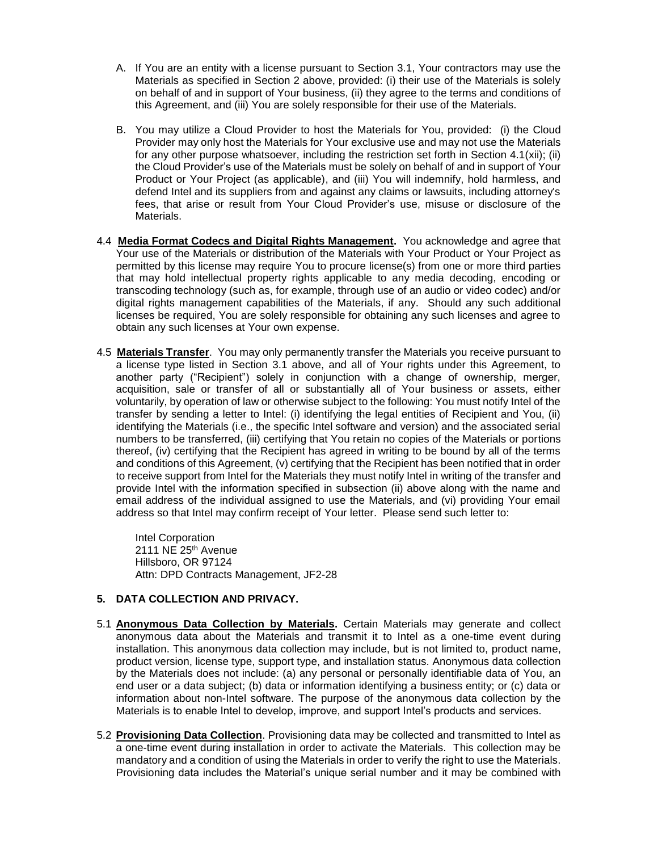- A. If You are an entity with a license pursuant to Section 3.1, Your contractors may use the Materials as specified in Section 2 above, provided: (i) their use of the Materials is solely on behalf of and in support of Your business, (ii) they agree to the terms and conditions of this Agreement, and (iii) You are solely responsible for their use of the Materials.
- B. You may utilize a Cloud Provider to host the Materials for You, provided: (i) the Cloud Provider may only host the Materials for Your exclusive use and may not use the Materials for any other purpose whatsoever, including the restriction set forth in Section 4.1(xii); (ii) the Cloud Provider's use of the Materials must be solely on behalf of and in support of Your Product or Your Project (as applicable), and (iii) You will indemnify, hold harmless, and defend Intel and its suppliers from and against any claims or lawsuits, including attorney's fees, that arise or result from Your Cloud Provider's use, misuse or disclosure of the Materials.
- 4.4 **Media Format Codecs and Digital Rights Management.** You acknowledge and agree that Your use of the Materials or distribution of the Materials with Your Product or Your Project as permitted by this license may require You to procure license(s) from one or more third parties that may hold intellectual property rights applicable to any media decoding, encoding or transcoding technology (such as, for example, through use of an audio or video codec) and/or digital rights management capabilities of the Materials, if any. Should any such additional licenses be required, You are solely responsible for obtaining any such licenses and agree to obtain any such licenses at Your own expense.
- 4.5 **Materials Transfer**. You may only permanently transfer the Materials you receive pursuant to a license type listed in Section 3.1 above, and all of Your rights under this Agreement, to another party ("Recipient") solely in conjunction with a change of ownership, merger, acquisition, sale or transfer of all or substantially all of Your business or assets, either voluntarily, by operation of law or otherwise subject to the following: You must notify Intel of the transfer by sending a letter to Intel: (i) identifying the legal entities of Recipient and You, (ii) identifying the Materials (i.e., the specific Intel software and version) and the associated serial numbers to be transferred, (iii) certifying that You retain no copies of the Materials or portions thereof, (iv) certifying that the Recipient has agreed in writing to be bound by all of the terms and conditions of this Agreement, (v) certifying that the Recipient has been notified that in order to receive support from Intel for the Materials they must notify Intel in writing of the transfer and provide Intel with the information specified in subsection (ii) above along with the name and email address of the individual assigned to use the Materials, and (vi) providing Your email address so that Intel may confirm receipt of Your letter. Please send such letter to:

Intel Corporation 2111 NE 25<sup>th</sup> Avenue Hillsboro, OR 97124 Attn: DPD Contracts Management, JF2-28

# **5. DATA COLLECTION AND PRIVACY.**

- 5.1 **Anonymous Data Collection by Materials.** Certain Materials may generate and collect anonymous data about the Materials and transmit it to Intel as a one-time event during installation. This anonymous data collection may include, but is not limited to, product name, product version, license type, support type, and installation status. Anonymous data collection by the Materials does not include: (a) any personal or personally identifiable data of You, an end user or a data subject; (b) data or information identifying a business entity; or (c) data or information about non-Intel software. The purpose of the anonymous data collection by the Materials is to enable Intel to develop, improve, and support Intel's products and services.
- 5.2 **Provisioning Data Collection**. Provisioning data may be collected and transmitted to Intel as a one-time event during installation in order to activate the Materials. This collection may be mandatory and a condition of using the Materials in order to verify the right to use the Materials. Provisioning data includes the Material's unique serial number and it may be combined with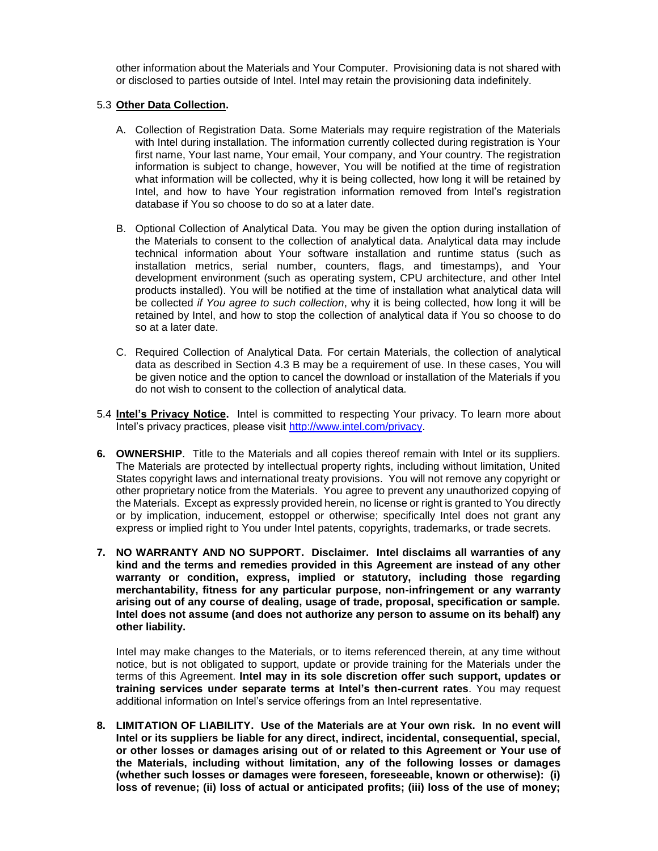other information about the Materials and Your Computer. Provisioning data is not shared with or disclosed to parties outside of Intel. Intel may retain the provisioning data indefinitely.

### 5.3 **Other Data Collection.**

- A. Collection of Registration Data. Some Materials may require registration of the Materials with Intel during installation. The information currently collected during registration is Your first name, Your last name, Your email, Your company, and Your country. The registration information is subject to change, however, You will be notified at the time of registration what information will be collected, why it is being collected, how long it will be retained by Intel, and how to have Your registration information removed from Intel's registration database if You so choose to do so at a later date.
- B. Optional Collection of Analytical Data. You may be given the option during installation of the Materials to consent to the collection of analytical data. Analytical data may include technical information about Your software installation and runtime status (such as installation metrics, serial number, counters, flags, and timestamps), and Your development environment (such as operating system, CPU architecture, and other Intel products installed). You will be notified at the time of installation what analytical data will be collected *if You agree to such collection*, why it is being collected, how long it will be retained by Intel, and how to stop the collection of analytical data if You so choose to do so at a later date.
- C. Required Collection of Analytical Data. For certain Materials, the collection of analytical data as described in Section 4.3 B may be a requirement of use. In these cases, You will be given notice and the option to cancel the download or installation of the Materials if you do not wish to consent to the collection of analytical data.
- 5.4 **Intel's Privacy Notice.** Intel is committed to respecting Your privacy. To learn more about Intel's privacy practices, please visit [http://www.intel.com/privacy.](http://www.intel.com/privacy)
- **6. OWNERSHIP**. Title to the Materials and all copies thereof remain with Intel or its suppliers. The Materials are protected by intellectual property rights, including without limitation, United States copyright laws and international treaty provisions. You will not remove any copyright or other proprietary notice from the Materials. You agree to prevent any unauthorized copying of the Materials. Except as expressly provided herein, no license or right is granted to You directly or by implication, inducement, estoppel or otherwise; specifically Intel does not grant any express or implied right to You under Intel patents, copyrights, trademarks, or trade secrets.
- **7. NO WARRANTY AND NO SUPPORT. Disclaimer. Intel disclaims all warranties of any kind and the terms and remedies provided in this Agreement are instead of any other warranty or condition, express, implied or statutory, including those regarding merchantability, fitness for any particular purpose, non-infringement or any warranty arising out of any course of dealing, usage of trade, proposal, specification or sample. Intel does not assume (and does not authorize any person to assume on its behalf) any other liability.**

Intel may make changes to the Materials, or to items referenced therein, at any time without notice, but is not obligated to support, update or provide training for the Materials under the terms of this Agreement. **Intel may in its sole discretion offer such support, updates or training services under separate terms at Intel's then-current rates**. You may request additional information on Intel's service offerings from an Intel representative.

**8. LIMITATION OF LIABILITY. Use of the Materials are at Your own risk. In no event will Intel or its suppliers be liable for any direct, indirect, incidental, consequential, special, or other losses or damages arising out of or related to this Agreement or Your use of the Materials, including without limitation, any of the following losses or damages (whether such losses or damages were foreseen, foreseeable, known or otherwise): (i) loss of revenue; (ii) loss of actual or anticipated profits; (iii) loss of the use of money;**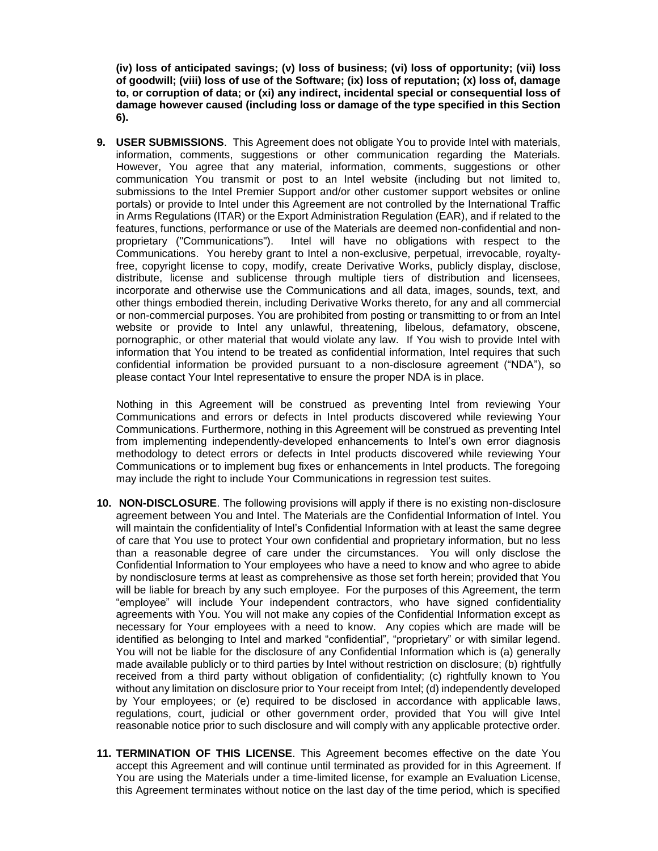**(iv) loss of anticipated savings; (v) loss of business; (vi) loss of opportunity; (vii) loss of goodwill; (viii) loss of use of the Software; (ix) loss of reputation; (x) loss of, damage to, or corruption of data; or (xi) any indirect, incidental special or consequential loss of damage however caused (including loss or damage of the type specified in this Section 6).**

**9. USER SUBMISSIONS**. This Agreement does not obligate You to provide Intel with materials, information, comments, suggestions or other communication regarding the Materials. However, You agree that any material, information, comments, suggestions or other communication You transmit or post to an Intel website (including but not limited to, submissions to the Intel Premier Support and/or other customer support websites or online portals) or provide to Intel under this Agreement are not controlled by the International Traffic in Arms Regulations (ITAR) or the Export Administration Regulation (EAR), and if related to the features, functions, performance or use of the Materials are deemed non-confidential and nonproprietary ("Communications"). Intel will have no obligations with respect to the Communications. You hereby grant to Intel a non-exclusive, perpetual, irrevocable, royaltyfree, copyright license to copy, modify, create Derivative Works, publicly display, disclose, distribute, license and sublicense through multiple tiers of distribution and licensees, incorporate and otherwise use the Communications and all data, images, sounds, text, and other things embodied therein, including Derivative Works thereto, for any and all commercial or non-commercial purposes. You are prohibited from posting or transmitting to or from an Intel website or provide to Intel any unlawful, threatening, libelous, defamatory, obscene, pornographic, or other material that would violate any law. If You wish to provide Intel with information that You intend to be treated as confidential information, Intel requires that such confidential information be provided pursuant to a non-disclosure agreement ("NDA"), so please contact Your Intel representative to ensure the proper NDA is in place.

Nothing in this Agreement will be construed as preventing Intel from reviewing Your Communications and errors or defects in Intel products discovered while reviewing Your Communications. Furthermore, nothing in this Agreement will be construed as preventing Intel from implementing independently-developed enhancements to Intel's own error diagnosis methodology to detect errors or defects in Intel products discovered while reviewing Your Communications or to implement bug fixes or enhancements in Intel products. The foregoing may include the right to include Your Communications in regression test suites.

- **10. NON-DISCLOSURE**. The following provisions will apply if there is no existing non-disclosure agreement between You and Intel. The Materials are the Confidential Information of Intel. You will maintain the confidentiality of Intel's Confidential Information with at least the same degree of care that You use to protect Your own confidential and proprietary information, but no less than a reasonable degree of care under the circumstances. You will only disclose the Confidential Information to Your employees who have a need to know and who agree to abide by nondisclosure terms at least as comprehensive as those set forth herein; provided that You will be liable for breach by any such employee. For the purposes of this Agreement, the term "employee" will include Your independent contractors, who have signed confidentiality agreements with You. You will not make any copies of the Confidential Information except as necessary for Your employees with a need to know. Any copies which are made will be identified as belonging to Intel and marked "confidential", "proprietary" or with similar legend. You will not be liable for the disclosure of any Confidential Information which is (a) generally made available publicly or to third parties by Intel without restriction on disclosure; (b) rightfully received from a third party without obligation of confidentiality; (c) rightfully known to You without any limitation on disclosure prior to Your receipt from Intel; (d) independently developed by Your employees; or (e) required to be disclosed in accordance with applicable laws, regulations, court, judicial or other government order, provided that You will give Intel reasonable notice prior to such disclosure and will comply with any applicable protective order.
- **11. TERMINATION OF THIS LICENSE**. This Agreement becomes effective on the date You accept this Agreement and will continue until terminated as provided for in this Agreement. If You are using the Materials under a time-limited license, for example an Evaluation License, this Agreement terminates without notice on the last day of the time period, which is specified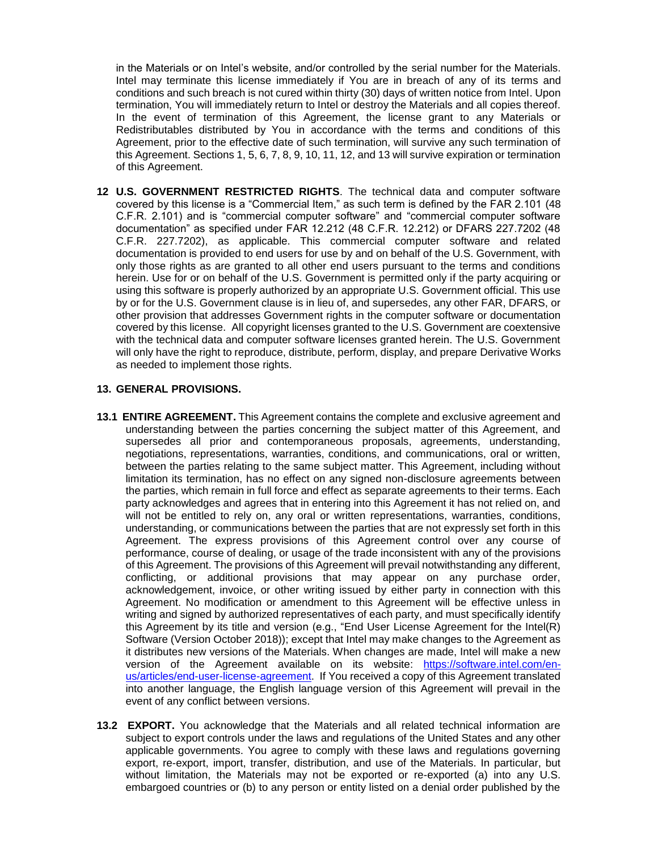in the Materials or on Intel's website, and/or controlled by the serial number for the Materials. Intel may terminate this license immediately if You are in breach of any of its terms and conditions and such breach is not cured within thirty (30) days of written notice from Intel. Upon termination, You will immediately return to Intel or destroy the Materials and all copies thereof. In the event of termination of this Agreement, the license grant to any Materials or Redistributables distributed by You in accordance with the terms and conditions of this Agreement, prior to the effective date of such termination, will survive any such termination of this Agreement. Sections 1, 5, 6, 7, 8, 9, 10, 11, 12, and 13 will survive expiration or termination of this Agreement.

**12 U.S. GOVERNMENT RESTRICTED RIGHTS**. The technical data and computer software covered by this license is a "Commercial Item," as such term is defined by the FAR 2.101 (48 C.F.R. 2.101) and is "commercial computer software" and "commercial computer software documentation" as specified under FAR 12.212 (48 C.F.R. 12.212) or DFARS 227.7202 (48 C.F.R. 227.7202), as applicable. This commercial computer software and related documentation is provided to end users for use by and on behalf of the U.S. Government, with only those rights as are granted to all other end users pursuant to the terms and conditions herein. Use for or on behalf of the U.S. Government is permitted only if the party acquiring or using this software is properly authorized by an appropriate U.S. Government official. This use by or for the U.S. Government clause is in lieu of, and supersedes, any other FAR, DFARS, or other provision that addresses Government rights in the computer software or documentation covered by this license. All copyright licenses granted to the U.S. Government are coextensive with the technical data and computer software licenses granted herein. The U.S. Government will only have the right to reproduce, distribute, perform, display, and prepare Derivative Works as needed to implement those rights.

## **13. GENERAL PROVISIONS.**

- **13.1 ENTIRE AGREEMENT.** This Agreement contains the complete and exclusive agreement and understanding between the parties concerning the subject matter of this Agreement, and supersedes all prior and contemporaneous proposals, agreements, understanding, negotiations, representations, warranties, conditions, and communications, oral or written, between the parties relating to the same subject matter. This Agreement, including without limitation its termination, has no effect on any signed non-disclosure agreements between the parties, which remain in full force and effect as separate agreements to their terms. Each party acknowledges and agrees that in entering into this Agreement it has not relied on, and will not be entitled to rely on, any oral or written representations, warranties, conditions, understanding, or communications between the parties that are not expressly set forth in this Agreement. The express provisions of this Agreement control over any course of performance, course of dealing, or usage of the trade inconsistent with any of the provisions of this Agreement. The provisions of this Agreement will prevail notwithstanding any different, conflicting, or additional provisions that may appear on any purchase order, acknowledgement, invoice, or other writing issued by either party in connection with this Agreement. No modification or amendment to this Agreement will be effective unless in writing and signed by authorized representatives of each party, and must specifically identify this Agreement by its title and version (e.g., "End User License Agreement for the Intel(R) Software (Version October 2018)); except that Intel may make changes to the Agreement as it distributes new versions of the Materials. When changes are made, Intel will make a new version of the Agreement available on its website: [https://software.intel.com/en](https://software.intel.com/en-us/articles/end-user-license-agreement)[us/articles/end-user-license-agreement.](https://software.intel.com/en-us/articles/end-user-license-agreement) If You received a copy of this Agreement translated into another language, the English language version of this Agreement will prevail in the event of any conflict between versions.
- **13.2 EXPORT.** You acknowledge that the Materials and all related technical information are subject to export controls under the laws and regulations of the United States and any other applicable governments. You agree to comply with these laws and regulations governing export, re-export, import, transfer, distribution, and use of the Materials. In particular, but without limitation, the Materials may not be exported or re-exported (a) into any U.S. embargoed countries or (b) to any person or entity listed on a denial order published by the